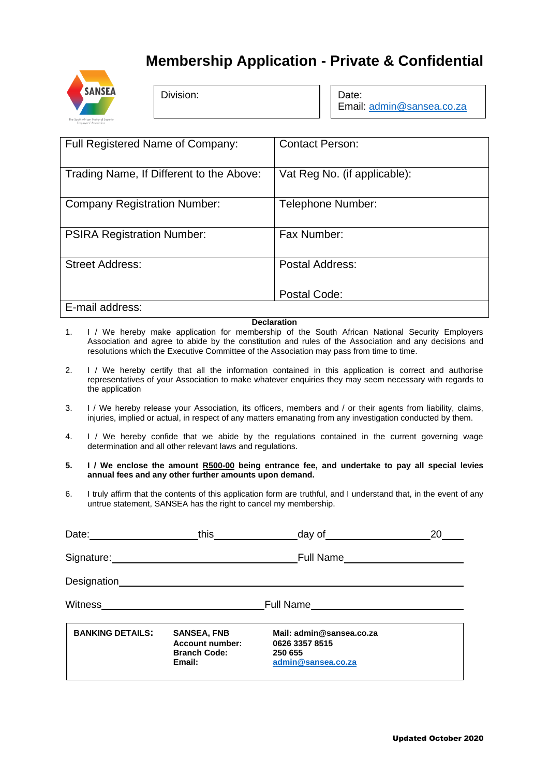## **Membership Application - Private & Confidential**



Division:

Date: Email: [admin@sansea.co.za](mailto:admin@sansea.co.za)

| Full Registered Name of Company:         | <b>Contact Person:</b>       |
|------------------------------------------|------------------------------|
| Trading Name, If Different to the Above: | Vat Reg No. (if applicable): |
| <b>Company Registration Number:</b>      | Telephone Number:            |
| <b>PSIRA Registration Number:</b>        | Fax Number:                  |
| <b>Street Address:</b>                   | Postal Address:              |
|                                          | Postal Code:                 |
| E-mail address:                          |                              |

## **Declaration**

- 1. I / We hereby make application for membership of the South African National Security Employers Association and agree to abide by the constitution and rules of the Association and any decisions and resolutions which the Executive Committee of the Association may pass from time to time.
- 2. I / We hereby certify that all the information contained in this application is correct and authorise representatives of your Association to make whatever enquiries they may seem necessary with regards to the application
- 3. I / We hereby release your Association, its officers, members and / or their agents from liability, claims, injuries, implied or actual, in respect of any matters emanating from any investigation conducted by them.
- 4. I / We hereby confide that we abide by the regulations contained in the current governing wage determination and all other relevant laws and regulations.
- **5. I / We enclose the amount R500-00 being entrance fee, and undertake to pay all special levies annual fees and any other further amounts upon demand.**
- 6. I truly affirm that the contents of this application form are truthful, and I understand that, in the event of any untrue statement, SANSEA has the right to cancel my membership.

|                                         | this <u>with the set of the set of the set of the set of the set of the set of the set of the set of the set of the set of the set of the set of the set of the set of the set of the set of the set of the set of the set of th</u> | day of the state of the state of the state of the state of the state of the state of the state of the state of | 20 |
|-----------------------------------------|--------------------------------------------------------------------------------------------------------------------------------------------------------------------------------------------------------------------------------------|----------------------------------------------------------------------------------------------------------------|----|
| Signature: Management of the Signature: |                                                                                                                                                                                                                                      | Full Name_______________________                                                                               |    |
| Designation                             |                                                                                                                                                                                                                                      |                                                                                                                |    |
| Witness                                 |                                                                                                                                                                                                                                      |                                                                                                                |    |
| <b>BANKING DETAILS:</b>                 | <b>SANSEA, FNB</b><br><b>Account number:</b><br><b>Branch Code:</b><br>Email:                                                                                                                                                        | Mail: admin@sansea.co.za<br>0626 3357 8515<br>250 655<br>admin@sansea.co.za                                    |    |